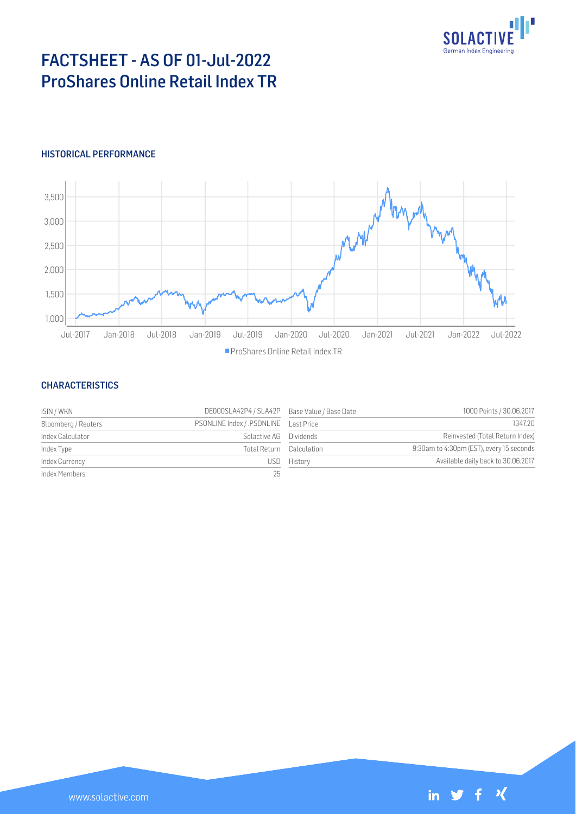

# FACTSHEET - AS OF 01-Jul-2022 ProShares Online Retail Index TR

## HISTORICAL PERFORMANCE



#### **CHARACTERISTICS**

| ISIN / WKN          | DE000SLA42P4 / SLA42P Base Value / Base Date |                          | 1000 Points / 30.06.2017                 |
|---------------------|----------------------------------------------|--------------------------|------------------------------------------|
| Bloomberg / Reuters |                                              |                          | 1347.20                                  |
| Index Calculator    | Solactive AG                                 | Dividends                | Reinvested (Total Return Index)          |
| Index Type          |                                              | Total Return Calculation | 9:30am to 4:30pm (EST), every 15 seconds |
| Index Currency      | USD.                                         | History                  | Available daily back to 30.06.2017       |
| Index Members       | 25                                           |                          |                                          |

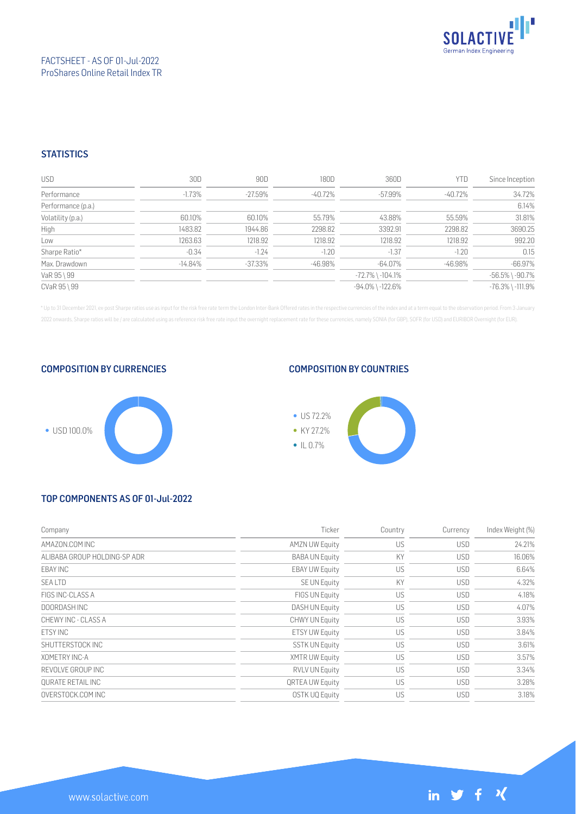

## **STATISTICS**

| <b>USD</b>         | 30D       | 90D     | 180D    | 360D                   | YTD        | Since Inception        |
|--------------------|-----------|---------|---------|------------------------|------------|------------------------|
| Performance        | $-1.73\%$ | -27.59% | -40.72% | -57.99%                | -40.72%    | 34.72%                 |
| Performance (p.a.) |           |         |         |                        |            | 6.14%                  |
| Volatility (p.a.)  | 60.10%    | 60.10%  | 55.79%  | 43.88%                 | 55.59%     | 31.81%                 |
| High               | 1483.82   | 1944.86 | 2298.82 | 3392.91                | 2298.82    | 3690.25                |
| Low                | 1263.63   | 1218.92 | 1218.92 | 1218.92                | 1218.92    | 992.20                 |
| Sharpe Ratio*      | $-0.34$   | $-1.24$ | $-1.20$ | $-1.37$                | $-1.20$    | 0.15                   |
| Max. Drawdown      | $-14.84%$ | -37.33% | -46.98% | -64.07%                | $-46.98\%$ | $-66.97%$              |
| VaR 95 \ 99        |           |         |         | $-72.7\%$ \ $-104.1\%$ |            | $-56.5\%$ \ $-90.7\%$  |
| CVaR 95 \ 99       |           |         |         | -94.0% \-122.6%        |            | $-76.3\%$ \ $-111.9\%$ |

\* Up to 31 December 2021, ex-post Sharpe ratios use as input for the risk free rate term the London Inter-Bank Offered rates in the respective currencies of the index and at a term equal to the observation period. From 3 J 2022 onwards, Sharpe ratios will be / are calculated using as reference risk free rate input the overnight replacement rate for these currencies, namely SONIA (for GBP), SOFR (for USD) and EURIBOR Overnight (for EUR).

COMPOSITION BY CURRENCIES



#### COMPOSITION BY COUNTRIES



# TOP COMPONENTS AS OF 01-Jul-2022

| Company                      | Ticker                 | Country | Currency   | Index Weight (%) |
|------------------------------|------------------------|---------|------------|------------------|
| AMAZON.COM INC               | <b>AMZN UW Equity</b>  | US      | <b>USD</b> | 24.21%           |
| ALIBABA GROUP HOLDING-SP ADR | <b>BABA UN Equity</b>  | KY      | <b>USD</b> | 16.06%           |
| EBAY INC                     | <b>EBAY UW Equity</b>  | US      | <b>USD</b> | 6.64%            |
| <b>SEALTD</b>                | SE UN Equity           | KY      | <b>USD</b> | 4.32%            |
| FIGS INC-CLASS A             | FIGS UN Equity         | US      | <b>USD</b> | 4.18%            |
| DOORDASH INC                 | DASH UN Equity         | US      | <b>USD</b> | 4.07%            |
| CHEWY INC - CLASS A          | CHWY UN Equity         | US      | <b>USD</b> | 3.93%            |
| <b>FTSY INC</b>              | <b>ETSY UW Equity</b>  | US      | <b>USD</b> | 3.84%            |
| SHUTTERSTOCK INC             | <b>SSTK UN Equity</b>  | US      | <b>USD</b> | 3.61%            |
| XOMETRY INC-A                | <b>XMTR UW Equity</b>  | US      | <b>USD</b> | 3.57%            |
| REVOLVE GROUP INC            | <b>RVLV UN Equity</b>  | US      | <b>USD</b> | 3.34%            |
| <b>OURATE RETAIL INC</b>     | <b>QRTEA UW Equity</b> | US      | <b>USD</b> | 3.28%            |
| OVERSTOCK.COM INC            | OSTK UQ Equity         | US      | <b>USD</b> | 3.18%            |

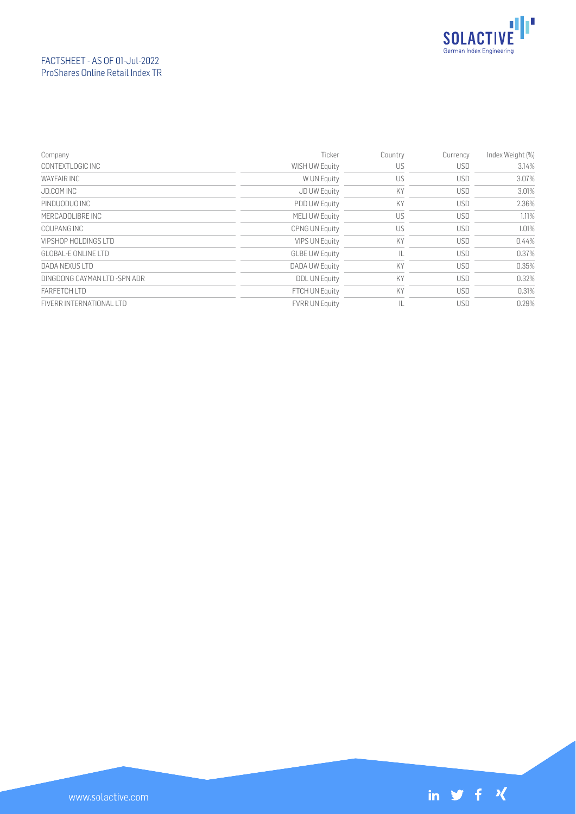

# FACTSHEET - AS OF 01-Jul-2022 ProShares Online Retail Index TR

| Company                       | Ticker                | Country | Currency   | Index Weight (%) |
|-------------------------------|-----------------------|---------|------------|------------------|
| CONTEXTLOGIC INC              | WISH UW Equity        | US      | <b>USD</b> | 3.14%            |
| WAYFAIR INC                   | W UN Equity           | US      | <b>USD</b> | 3.07%            |
| JD.COM INC                    | JD UW Equity          | KY      | <b>USD</b> | 3.01%            |
| PINDUODUO INC                 | <b>PDD UW Equity</b>  | KY      | <b>USD</b> | 2.36%            |
| MERCADOLIBRE INC              | MELI UW Equity        | US      | <b>USD</b> | 1.11%            |
| COUPANG INC                   | <b>CPNG UN Equity</b> | US      | <b>USD</b> | 1.01%            |
| VIPSHOP HOLDINGS LTD          | <b>VIPS UN Equity</b> | KY      | <b>USD</b> | 0.44%            |
| GLOBAL-FONLINE LTD            | <b>GLBE UW Equity</b> | IL      | <b>USD</b> | 0.37%            |
| DADA NEXUS LTD                | DADA UW Equity        | KY      | <b>USD</b> | 0.35%            |
| DINGDONG CAYMAN LTD - SPN ADR | <b>DDL UN Equity</b>  | KY      | <b>USD</b> | 0.32%            |
| <b>FARFFTCH ITD</b>           | <b>FTCH UN Equity</b> | KY      | <b>USD</b> | 0.31%            |
| FIVERR INTERNATIONAL LTD      | <b>FVRR UN Equity</b> | IL      | <b>USD</b> | 0.29%            |